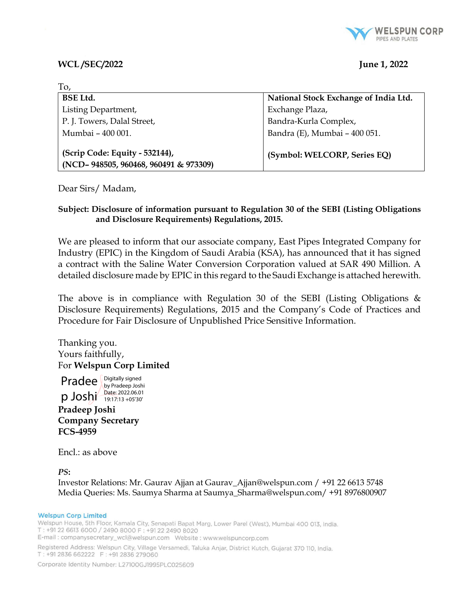

# WCL /SEC/2022 June 1, 2022

 $T_{\Omega}$ 

| 10,                                                                     |                                       |
|-------------------------------------------------------------------------|---------------------------------------|
| <b>BSE Ltd.</b>                                                         | National Stock Exchange of India Ltd. |
| Listing Department,                                                     | Exchange Plaza,                       |
| P. J. Towers, Dalal Street,                                             | Bandra-Kurla Complex,                 |
| Mumbai - 400 001.                                                       | Bandra (E), Mumbai - 400 051.         |
| (Scrip Code: Equity - 532144),<br>(NCD-948505, 960468, 960491 & 973309) | (Symbol: WELCORP, Series EQ)          |

Dear Sirs/ Madam,

# Subject: Disclosure of information pursuant to Regulation 30 of the SEBI (Listing Obligations and Disclosure Requirements) Regulations, 2015.

We are pleased to inform that our associate company, East Pipes Integrated Company for Industry (EPIC) in the Kingdom of Saudi Arabia (KSA), has announced that it has signed a contract with the Saline Water Conversion Corporation valued at SAR 490 Million. A detailed disclosure made by EPIC in this regard to the Saudi Exchange is attached herewith.

The above is in compliance with Regulation 30 of the SEBI (Listing Obligations  $\&$ Disclosure Requirements) Regulations, 2015 and the Company's Code of Practices and Procedure for Fair Disclosure of Unpublished Price Sensitive Information.

Thanking you. Yours faithfully, For Welspun Corp Limited



Encl.: as above

PS:

Investor Relations: Mr. Gaurav Ajjan at Gaurav\_Ajjan@welspun.com / +91 22 6613 5748 Media Queries: Ms. Saumya Sharma at Saumya\_Sharma@welspun.com/ +91 8976800907

## **Welspun Corp Limited**

Welspun House, 5th Floor, Kamala City, Senapati Bapat Marg, Lower Parel (West), Mumbai 400 013, India. T: +91 22 6613 6000 / 2490 8000 F: +91 22 2490 8020 

Registered Address: Welspun City, Village Versamedi, Taluka Anjar, District Kutch, Gujarat 370 110, India. T: +91 2836 662222 F: +91 2836 279060

Corporate Identity Number: L27100GJ1995PLC025609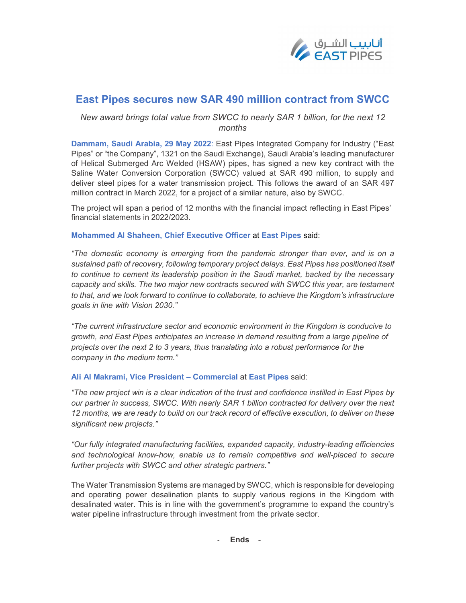

# East Pipes secures new SAR 490 million contract from SWCC

# New award brings total value from SWCC to nearly SAR 1 billion, for the next 12 months

Dammam, Saudi Arabia, 29 May 2022: East Pipes Integrated Company for Industry ("East Pipes" or "the Company", 1321 on the Saudi Exchange), Saudi Arabia's leading manufacturer of Helical Submerged Arc Welded (HSAW) pipes, has signed a new key contract with the Saline Water Conversion Corporation (SWCC) valued at SAR 490 million, to supply and deliver steel pipes for a water transmission project. This follows the award of an SAR 497 million contract in March 2022, for a project of a similar nature, also by SWCC.

The project will span a period of 12 months with the financial impact reflecting in East Pipes' financial statements in 2022/2023.

## Mohammed Al Shaheen, Chief Executive Officer at East Pipes said:

"The domestic economy is emerging from the pandemic stronger than ever, and is on a sustained path of recovery, following temporary project delays. East Pipes has positioned itself to continue to cement its leadership position in the Saudi market, backed by the necessary capacity and skills. The two major new contracts secured with SWCC this year, are testament to that, and we look forward to continue to collaborate, to achieve the Kingdom's infrastructure goals in line with Vision 2030."

"The current infrastructure sector and economic environment in the Kingdom is conducive to growth, and East Pipes anticipates an increase in demand resulting from a large pipeline of projects over the next 2 to 3 years, thus translating into a robust performance for the company in the medium term."

## Ali Al Makrami, Vice President – Commercial at East Pipes said:

"The new project win is a clear indication of the trust and confidence instilled in East Pipes by our partner in success, SWCC. With nearly SAR 1 billion contracted for delivery over the next 12 months, we are ready to build on our track record of effective execution, to deliver on these significant new projects."

"Our fully integrated manufacturing facilities, expanded capacity, industry-leading efficiencies and technological know-how, enable us to remain competitive and well-placed to secure further projects with SWCC and other strategic partners."

The Water Transmission Systems are managed by SWCC, which is responsible for developing and operating power desalination plants to supply various regions in the Kingdom with desalinated water. This is in line with the government's programme to expand the country's water pipeline infrastructure through investment from the private sector.